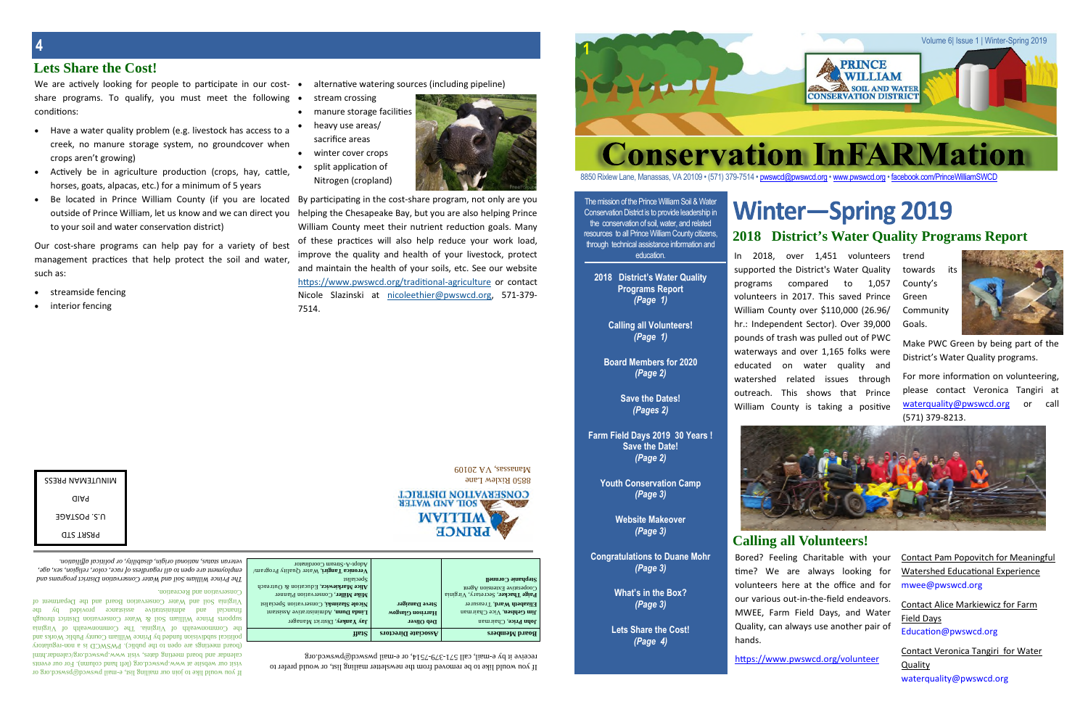| Conservat                                                                                                                                           |    |
|-----------------------------------------------------------------------------------------------------------------------------------------------------|----|
| 850 Rixlew Lane, Manassas, VA 20109 • (571) 379-7514 •                                                                                              |    |
| The mission of the Prince William Soil & Water<br>Conservation District is to provide leadership in<br>the conservation of soil, water, and related | Wi |
| resources, to all Prince William County citizens.                                                                                                   |    |

resources to all Prince William County citizens, through technical assistance information and education.

**2018 District's Water Quality Programs Report** *(Page 1)*

> **Calling all Volunteers!** *(Page 1)*

**Board Members for 2020** *(Page 2)*

> **Save the Dates!** *(Pages 2)*

In 2018, over 1,451 volunteers trend supported the District's Water Quality programs compared to 1,057 volunteers in 2017. This saved Prince William County over \$110,000 (26.96/ hr.: Independent Sector). Over 39,000 pounds of trash was pulled out of PWC waterways and over 1,165 folks were educated on water quality and watershed related issues through outreach. This shows that Prince William County is taking a positive

**Farm Field Days 2019 30 Years ! Save the Date!** *(Page 2)*

> **Youth Conservation Camp** *(Page 3)*

**Website Makeover** *(Page 3)*

**Congratulations to Duane Mohr** *(Page 3)*

> **What's in the Box?** *(Page 3)*

**Lets Share the Cost!** *(Page 4)*

https://www.pwswcd.org/volunteer

For more information on volunteering, please contact Veronica Tangiri at waterquality@pwswcd.org or call (571) 379-8213.



**1**

# inter-Spring 2019 **2018 District's Water Quality Programs Report**



88880 pwswcd@pwswcd.org • www.pwswcd.org • facebook.com/PrinceWilliamSWCD

- Have a water quality problem (e.g. livestock has access to a creek, no manure storage system, no groundcover when crops aren't growing)
- Actively be in agriculture production (crops, hay, cattle, horses, goats, alpacas, etc.) for a minimum of 5 years
- Be located in Prince William County (if you are located By participating in the cost-share program, not only are you outside of Prince William, let us know and we can direct you to your soil and water conservation district)

If you would like to be removed from the newsletter mailing list, or would prefer to  $m_{\text{14}}$  passed it passed. The  $215-215$  -  $279-151$  is the use it by example it by example it by  $m_{\text{24}}$  is a represented.

towards its County's Green Community Goals.



Make PWC Green by being part of the District's Water Quality programs.

### **Lets Share the Cost!**

We are actively looking for people to participate in our costshare programs. To qualify, you must meet the following . conditions:

mail pwswcd.org or or the pail pwswcd@pswsco.org or  $\frac{1}{2}$  or  $\frac{1}{2}$  or  $\frac{1}{2}$  or  $\frac{1}{2}$  or  $\frac{1}{2}$  or  $\frac{1}{2}$  or  $\frac{1}{2}$  or  $\frac{1}{2}$  or  $\frac{1}{2}$  or  $\frac{1}{2}$  or  $\frac{1}{2}$  or  $\frac{1}{2}$  or  $\frac{1}{2}$  or visit our website at www.pwswcd.org (left hand column). For our events calendar and board meeting dates, visit www.pwswcd.org/calendar.html (board meetings are open of the public). PWSWCD is a non-regulatory political subdivision funded by Prince William County Public Works and  $t$  Commonwealth of Virginia. The Commonwealth of Virginia. supports Prince William Soil & Water Conservation District through financial and administrative assistance provided by the Virginia Soil and Water Conservation Board and the Department of

Contact Alice Markiewicz for Farm Field Days Education@pwswcd.org

- alternative watering sources (including pipeline)
- stream crossing
- manure storage facilities
- heavy use areas/ sacrifice areas
- winter cover crops
- split application of Nitrogen (cropland)



Our cost-share programs can help pay for a variety of best management practices that help protect the soil and water, such as:

- streamside fencing
- interior fencing

8850 Rixlew Lane



Manassas, VA <sup>20109</sup>



| UIINNIENNAN ÞRESS |  |
|-------------------|--|
| aiaq              |  |
| JOATZUY .Z.U      |  |
| <b>QTS TAZA9</b>  |  |

Bored? Feeling Charitable with your time? We are always looking for volunteers here at the office and for our various out-in-the-field endeavors. MWEE, Farm Field Days, and Water Quality, can always use another pair of

hands.

Contact Pam Popovitch for Meaningful Watershed Educational Experience mwee@pwswcd.org

| veteran status, national origin, disability, or political affiliation.                | Adopt-A-Stream Coordinator                |                            |                                    |
|---------------------------------------------------------------------------------------|-------------------------------------------|----------------------------|------------------------------------|
| - s8v 'xəs 'u01811ə1 '10100 'əɔvɪ fo ssəɪp.ɪv8ə1 yv o1 uədo ə.ɪv tuəuɪ(oydul)'        | Veronica Tangiri, Water Quality Program/  |                            |                                    |
| The Prince William Soil and Water Conservation District programs and                  | $S$ pecialist                             |                            | Stephanie Cornnell                 |
|                                                                                       | Alice Markiewicz, Education & Outreach    |                            | $\log$ Cooperative Extension Agent |
| Conservation and Recreation.                                                          | Mike Miller, Conservation Planner         |                            | Paige Thacker, Secretary, Virginia |
| Virginia Soil and Water Conservation Board and the Department c                       | Nicole Slazinski, Conservation Specialist | Steve Danziger             | Elizabeth Ward, Treasurer          |
| рәрилола<br>assistance<br>yı Kq<br>əvinsizinimba<br>pue<br>financial                  | Linda Dunn, Administrative Assistant      | Harrison Glasgow           | <b>Jim Gehlsen, Vice Chairman</b>  |
| supports Prince William Soil & Water Conservation District through                    | Jay Yankey, District Manager              | тэлііО dэД                 | <b>John Price, Chairman</b>        |
| the Commonwealth of Virginia. The Commonwealth of Virgini                             |                                           |                            |                                    |
| - bonnest anonymous upper solution $\alpha$ and $\alpha$ become $\alpha$ and $\alpha$ | <b>Tiaf2</b>                              | <b>Associate Directors</b> | <b>Board Members</b>               |

Contact Veronica Tangiri for Water Quality waterquality@pwswcd.org

## **Calling all Volunteers!**

helping the Chesapeake Bay, but you are also helping Prince William County meet their nutrient reduction goals. Many of these practices will also help reduce your work load, improve the quality and health of your livestock, protect and maintain the health of your soils, etc. See our website https://www.pwswcd.org/traditional-agriculture or contact Nicole Slazinski at nicoleethier@pwswcd.org, 571-379- 7514.